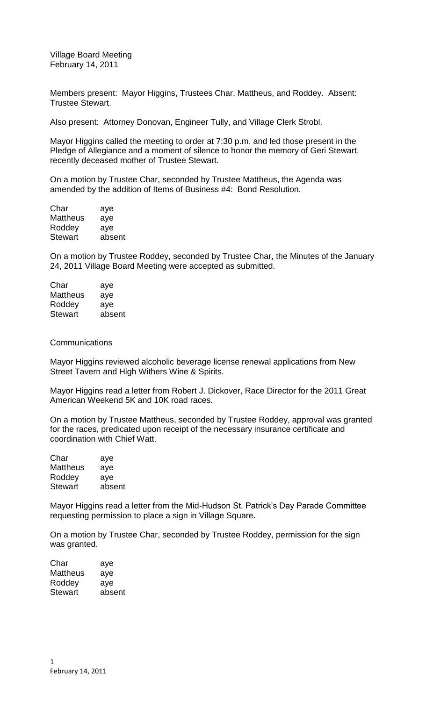Village Board Meeting February 14, 2011

Members present: Mayor Higgins, Trustees Char, Mattheus, and Roddey. Absent: Trustee Stewart.

Also present: Attorney Donovan, Engineer Tully, and Village Clerk Strobl.

Mayor Higgins called the meeting to order at 7:30 p.m. and led those present in the Pledge of Allegiance and a moment of silence to honor the memory of Geri Stewart, recently deceased mother of Trustee Stewart.

On a motion by Trustee Char, seconded by Trustee Mattheus, the Agenda was amended by the addition of Items of Business #4: Bond Resolution.

| Char            | aye    |
|-----------------|--------|
| <b>Mattheus</b> | aye    |
| Roddey          | aye    |
| Stewart         | absent |
|                 |        |

On a motion by Trustee Roddey, seconded by Trustee Char, the Minutes of the January 24, 2011 Village Board Meeting were accepted as submitted.

| Char           | aye    |
|----------------|--------|
| Mattheus       | aye    |
| Roddey         | aye    |
| <b>Stewart</b> | absent |
|                |        |

## **Communications**

Mayor Higgins reviewed alcoholic beverage license renewal applications from New Street Tavern and High Withers Wine & Spirits.

Mayor Higgins read a letter from Robert J. Dickover, Race Director for the 2011 Great American Weekend 5K and 10K road races.

On a motion by Trustee Mattheus, seconded by Trustee Roddey, approval was granted for the races, predicated upon receipt of the necessary insurance certificate and coordination with Chief Watt.

| Char           | aye    |
|----------------|--------|
| Mattheus       | aye    |
| Roddey         | aye    |
| <b>Stewart</b> | absent |

Mayor Higgins read a letter from the Mid-Hudson St. Patrick's Day Parade Committee requesting permission to place a sign in Village Square.

On a motion by Trustee Char, seconded by Trustee Roddey, permission for the sign was granted.

| Char           | aye    |
|----------------|--------|
| Mattheus       | aye    |
| Roddey         | aye    |
| <b>Stewart</b> | absent |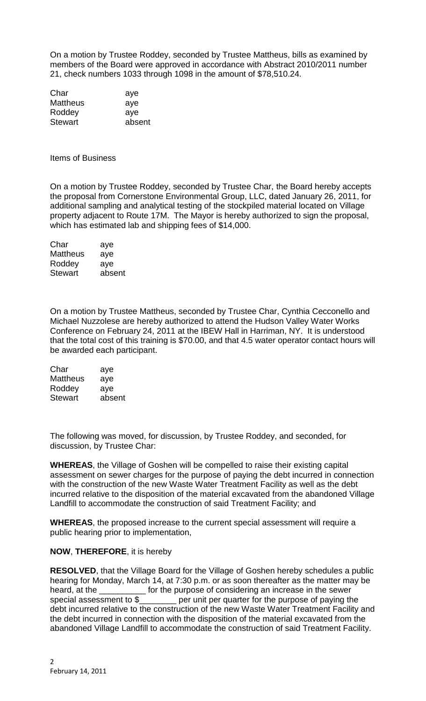On a motion by Trustee Roddey, seconded by Trustee Mattheus, bills as examined by members of the Board were approved in accordance with Abstract 2010/2011 number 21, check numbers 1033 through 1098 in the amount of \$78,510.24.

| aye    |
|--------|
| aye    |
| aye    |
| absent |
|        |

Items of Business

On a motion by Trustee Roddey, seconded by Trustee Char, the Board hereby accepts the proposal from Cornerstone Environmental Group, LLC, dated January 26, 2011, for additional sampling and analytical testing of the stockpiled material located on Village property adjacent to Route 17M. The Mayor is hereby authorized to sign the proposal, which has estimated lab and shipping fees of \$14,000.

| aye    |
|--------|
| aye    |
| aye    |
| absent |
|        |

On a motion by Trustee Mattheus, seconded by Trustee Char, Cynthia Cecconello and Michael Nuzzolese are hereby authorized to attend the Hudson Valley Water Works Conference on February 24, 2011 at the IBEW Hall in Harriman, NY. It is understood that the total cost of this training is \$70.00, and that 4.5 water operator contact hours will be awarded each participant.

| Char     | aye    |
|----------|--------|
| Mattheus | aye    |
| Roddey   | aye    |
| Stewart  | absent |

The following was moved, for discussion, by Trustee Roddey, and seconded, for discussion, by Trustee Char:

**WHEREAS**, the Village of Goshen will be compelled to raise their existing capital assessment on sewer charges for the purpose of paying the debt incurred in connection with the construction of the new Waste Water Treatment Facility as well as the debt incurred relative to the disposition of the material excavated from the abandoned Village Landfill to accommodate the construction of said Treatment Facility; and

**WHEREAS**, the proposed increase to the current special assessment will require a public hearing prior to implementation,

## **NOW**, **THEREFORE**, it is hereby

**RESOLVED**, that the Village Board for the Village of Goshen hereby schedules a public hearing for Monday, March 14, at 7:30 p.m. or as soon thereafter as the matter may be heard, at the \_\_\_\_\_\_\_\_\_\_\_ for the purpose of considering an increase in the sewer special assessment to \$\_\_\_\_\_\_\_\_ per unit per quarter for the purpose of paying the debt incurred relative to the construction of the new Waste Water Treatment Facility and the debt incurred in connection with the disposition of the material excavated from the abandoned Village Landfill to accommodate the construction of said Treatment Facility.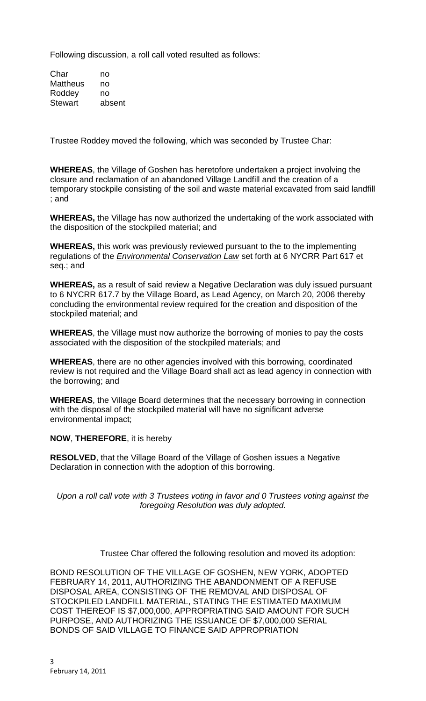Following discussion, a roll call voted resulted as follows:

Char no Mattheus no Roddey no Stewart absent

Trustee Roddey moved the following, which was seconded by Trustee Char:

**WHEREAS**, the Village of Goshen has heretofore undertaken a project involving the closure and reclamation of an abandoned Village Landfill and the creation of a temporary stockpile consisting of the soil and waste material excavated from said landfill ; and

**WHEREAS,** the Village has now authorized the undertaking of the work associated with the disposition of the stockpiled material; and

**WHEREAS, this work was previously reviewed pursuant to the to the implementing** regulations of the *Environmental Conservation Law* set forth at 6 NYCRR Part 617 et seq.; and

**WHEREAS,** as a result of said review a Negative Declaration was duly issued pursuant to 6 NYCRR 617.7 by the Village Board, as Lead Agency, on March 20, 2006 thereby concluding the environmental review required for the creation and disposition of the stockpiled material; and

**WHEREAS**, the Village must now authorize the borrowing of monies to pay the costs associated with the disposition of the stockpiled materials; and

**WHEREAS**, there are no other agencies involved with this borrowing, coordinated review is not required and the Village Board shall act as lead agency in connection with the borrowing; and

**WHEREAS**, the Village Board determines that the necessary borrowing in connection with the disposal of the stockpiled material will have no significant adverse environmental impact;

**NOW**, **THEREFORE**, it is hereby

**RESOLVED**, that the Village Board of the Village of Goshen issues a Negative Declaration in connection with the adoption of this borrowing.

*Upon a roll call vote with 3 Trustees voting in favor and 0 Trustees voting against the foregoing Resolution was duly adopted.*

Trustee Char offered the following resolution and moved its adoption:

BOND RESOLUTION OF THE VILLAGE OF GOSHEN, NEW YORK, ADOPTED FEBRUARY 14, 2011, AUTHORIZING THE ABANDONMENT OF A REFUSE DISPOSAL AREA, CONSISTING OF THE REMOVAL AND DISPOSAL OF STOCKPILED LANDFILL MATERIAL, STATING THE ESTIMATED MAXIMUM COST THEREOF IS \$7,000,000, APPROPRIATING SAID AMOUNT FOR SUCH PURPOSE, AND AUTHORIZING THE ISSUANCE OF \$7,000,000 SERIAL BONDS OF SAID VILLAGE TO FINANCE SAID APPROPRIATION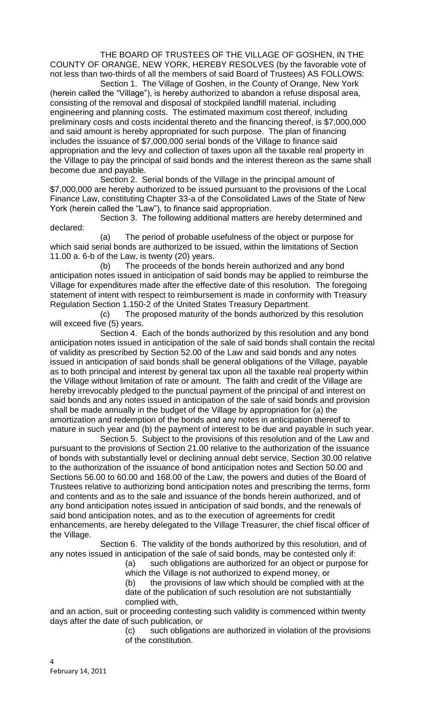THE BOARD OF TRUSTEES OF THE VILLAGE OF GOSHEN, IN THE COUNTY OF ORANGE, NEW YORK, HEREBY RESOLVES (by the favorable vote of not less than two-thirds of all the members of said Board of Trustees) AS FOLLOWS:

Section 1. The Village of Goshen, in the County of Orange, New York (herein called the "Village"), is hereby authorized to abandon a refuse disposal area, consisting of the removal and disposal of stockpiled landfill material, including engineering and planning costs. The estimated maximum cost thereof, including preliminary costs and costs incidental thereto and the financing thereof, is \$7,000,000 and said amount is hereby appropriated for such purpose. The plan of financing includes the issuance of \$7,000,000 serial bonds of the Village to finance said appropriation and the levy and collection of taxes upon all the taxable real property in the Village to pay the principal of said bonds and the interest thereon as the same shall become due and payable.

Section 2. Serial bonds of the Village in the principal amount of \$7,000,000 are hereby authorized to be issued pursuant to the provisions of the Local Finance Law, constituting Chapter 33-a of the Consolidated Laws of the State of New York (herein called the "Law"), to finance said appropriation.

Section 3. The following additional matters are hereby determined and declared:

(a) The period of probable usefulness of the object or purpose for which said serial bonds are authorized to be issued, within the limitations of Section 11.00 a. 6-b of the Law, is twenty (20) years.

(b) The proceeds of the bonds herein authorized and any bond anticipation notes issued in anticipation of said bonds may be applied to reimburse the Village for expenditures made after the effective date of this resolution. The foregoing statement of intent with respect to reimbursement is made in conformity with Treasury Regulation Section 1.150-2 of the United States Treasury Department.

(c) The proposed maturity of the bonds authorized by this resolution will exceed five (5) years.

Section 4. Each of the bonds authorized by this resolution and any bond anticipation notes issued in anticipation of the sale of said bonds shall contain the recital of validity as prescribed by Section 52.00 of the Law and said bonds and any notes issued in anticipation of said bonds shall be general obligations of the Village, payable as to both principal and interest by general tax upon all the taxable real property within the Village without limitation of rate or amount. The faith and credit of the Village are hereby irrevocably pledged to the punctual payment of the principal of and interest on said bonds and any notes issued in anticipation of the sale of said bonds and provision shall be made annually in the budget of the Village by appropriation for (a) the amortization and redemption of the bonds and any notes in anticipation thereof to mature in such year and (b) the payment of interest to be due and payable in such year.

Section 5. Subject to the provisions of this resolution and of the Law and pursuant to the provisions of Section 21.00 relative to the authorization of the issuance of bonds with substantially level or declining annual debt service, Section 30.00 relative to the authorization of the issuance of bond anticipation notes and Section 50.00 and Sections 56.00 to 60.00 and 168.00 of the Law, the powers and duties of the Board of Trustees relative to authorizing bond anticipation notes and prescribing the terms, form and contents and as to the sale and issuance of the bonds herein authorized, and of any bond anticipation notes issued in anticipation of said bonds, and the renewals of said bond anticipation notes, and as to the execution of agreements for credit enhancements, are hereby delegated to the Village Treasurer, the chief fiscal officer of the Village.

Section 6. The validity of the bonds authorized by this resolution, and of any notes issued in anticipation of the sale of said bonds, may be contested only if:

(a) such obligations are authorized for an object or purpose for which the Village is not authorized to expend money, or (b) the provisions of law which should be complied with at the date of the publication of such resolution are not substantially complied with,

and an action, suit or proceeding contesting such validity is commenced within twenty days after the date of such publication, or

> (c) such obligations are authorized in violation of the provisions of the constitution.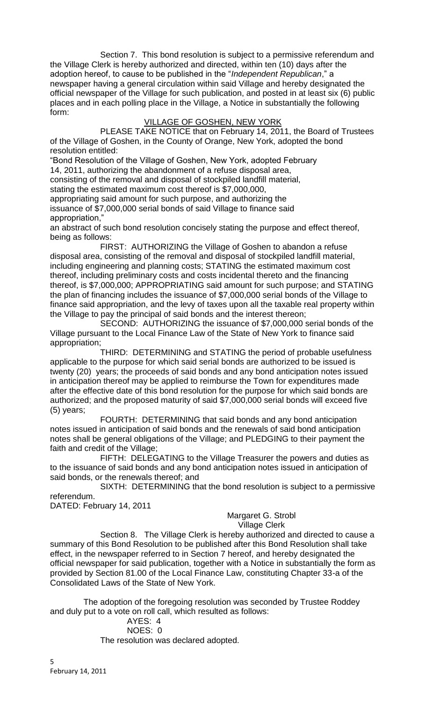Section 7. This bond resolution is subject to a permissive referendum and the Village Clerk is hereby authorized and directed, within ten (10) days after the adoption hereof, to cause to be published in the "*Independent Republican*," a newspaper having a general circulation within said Village and hereby designated the official newspaper of the Village for such publication, and posted in at least six (6) public places and in each polling place in the Village, a Notice in substantially the following form:

## VILLAGE OF GOSHEN, NEW YORK

PLEASE TAKE NOTICE that on February 14, 2011, the Board of Trustees of the Village of Goshen, in the County of Orange, New York, adopted the bond resolution entitled:

"Bond Resolution of the Village of Goshen, New York, adopted February 14, 2011, authorizing the abandonment of a refuse disposal area, consisting of the removal and disposal of stockpiled landfill material, stating the estimated maximum cost thereof is \$7,000,000, appropriating said amount for such purpose, and authorizing the

issuance of \$7,000,000 serial bonds of said Village to finance said appropriation,"

an abstract of such bond resolution concisely stating the purpose and effect thereof, being as follows:

FIRST: AUTHORIZING the Village of Goshen to abandon a refuse disposal area, consisting of the removal and disposal of stockpiled landfill material, including engineering and planning costs; STATING the estimated maximum cost thereof, including preliminary costs and costs incidental thereto and the financing thereof, is \$7,000,000; APPROPRIATING said amount for such purpose; and STATING the plan of financing includes the issuance of \$7,000,000 serial bonds of the Village to finance said appropriation, and the levy of taxes upon all the taxable real property within the Village to pay the principal of said bonds and the interest thereon;

SECOND: AUTHORIZING the issuance of \$7,000,000 serial bonds of the Village pursuant to the Local Finance Law of the State of New York to finance said appropriation;

THIRD: DETERMINING and STATING the period of probable usefulness applicable to the purpose for which said serial bonds are authorized to be issued is twenty (20) years; the proceeds of said bonds and any bond anticipation notes issued in anticipation thereof may be applied to reimburse the Town for expenditures made after the effective date of this bond resolution for the purpose for which said bonds are authorized; and the proposed maturity of said \$7,000,000 serial bonds will exceed five (5) years;

FOURTH: DETERMINING that said bonds and any bond anticipation notes issued in anticipation of said bonds and the renewals of said bond anticipation notes shall be general obligations of the Village; and PLEDGING to their payment the faith and credit of the Village;

FIFTH: DELEGATING to the Village Treasurer the powers and duties as to the issuance of said bonds and any bond anticipation notes issued in anticipation of said bonds, or the renewals thereof; and

SIXTH: DETERMINING that the bond resolution is subject to a permissive referendum.

DATED: February 14, 2011

## Margaret G. Strobl Village Clerk

Section 8. The Village Clerk is hereby authorized and directed to cause a summary of this Bond Resolution to be published after this Bond Resolution shall take effect, in the newspaper referred to in Section 7 hereof, and hereby designated the official newspaper for said publication, together with a Notice in substantially the form as provided by Section 81.00 of the Local Finance Law, constituting Chapter 33-a of the Consolidated Laws of the State of New York.

The adoption of the foregoing resolution was seconded by Trustee Roddey and duly put to a vote on roll call, which resulted as follows:

AYES: 4 NOES: 0 The resolution was declared adopted.